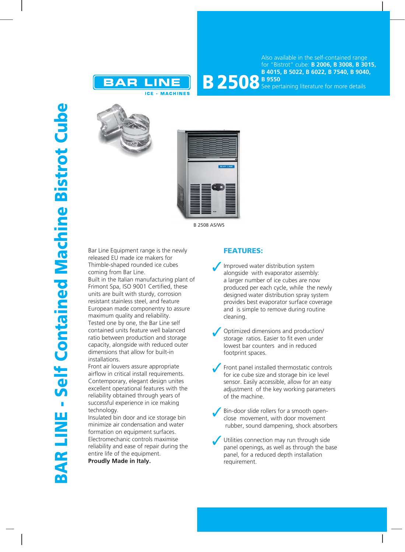

Also available in the self-contained range for "Bistrot" cube: **B 2006, B 3008, B 3015, B 4015, B 5022, B 6022, B 7540, B 9040,** 

**B 2508** B 9550 See pertaining literature for more details





B 2508 AS/WS

Bar Line Equipment range is the newly released EU made ice makers for Thimble-shaped rounded ice cubes coming from Bar Line.

Built in the Italian manufacturing plant of Frimont Spa, ISO 9001 Certified, these units are built with sturdy, corrosion resistant stainless steel, and feature European made componentry to assure maximum quality and reliability. Tested one by one, the Bar Line self contained units feature well balanced ratio between production and storage capacity, alongside with reduced outer dimensions that allow for built-in installations.

Front air louvers assure appropriate airflow in critical install requirements. Contemporary, elegant design unites excellent operational features with the reliability obtained through years of successful experience in ice making technology.

Insulated bin door and ice storage bin minimize air condensation and water formation on equipment surfaces. Electromechanic controls maximise reliability and ease of repair during the entire life of the equipment.

**Proudly Made in Italy.**

## **FEATURES:**

- Improved water distribution system alongside with evaporator assembly: a larger number of ice cubes are now produced per each cycle, while the newly designed water distribution spray system provides best evaporator surface coverage and is simple to remove during routine cleaning.
- Optimized dimensions and production/ storage ratios. Easier to fit even under lowest bar counters and in reduced footprint spaces.
- Front panel installed thermostatic controls for ice cube size and storage bin ice level sensor. Easily accessible, allow for an easy adjustment of the key working parameters of the machine.
- Bin-door slide rollers for a smooth openclose movement, with door movement rubber, sound dampening, shock absorbers
- Utilities connection may run through side panel openings, as well as through the base panel, for a reduced depth installation requirement.